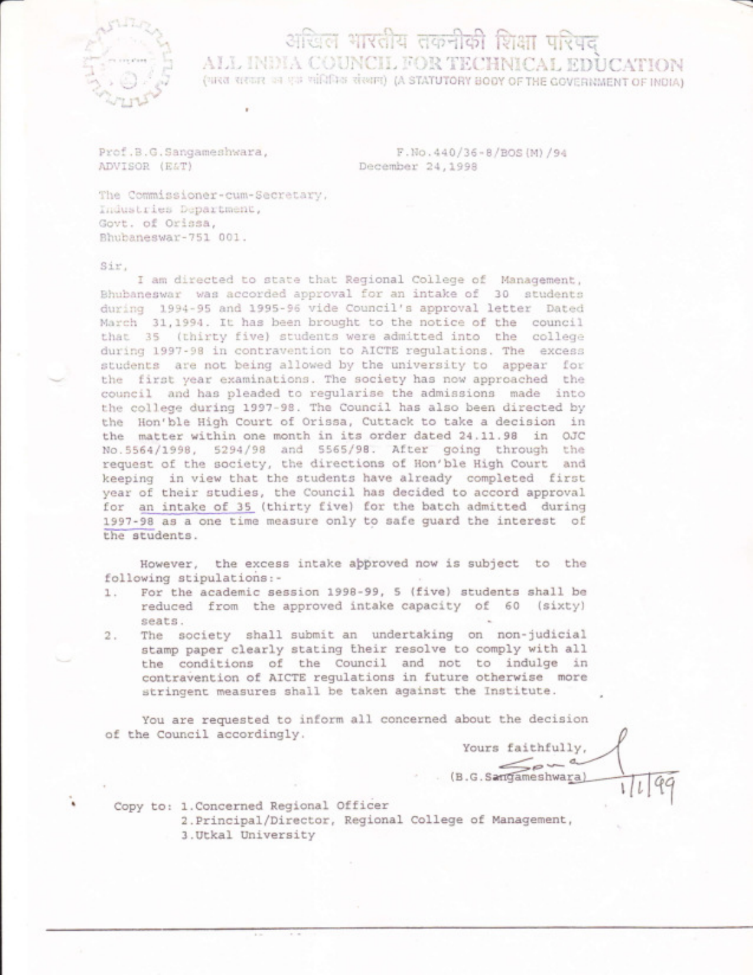

## अखिल भारतीय तकनीकी शिक्षा परिषद ALL INDIA COUNCIL FOR TECHNICAL EDUCATION (भारत सरकार का एक सांचिनिक संस्थान) (A STATUTORY BODY OF THE GOVERNMENT OF INDIA)

Prof.B.G.Sangameshwara, ADVISOR (E&T)

F.No.440/36-8/BOS (M) /94 December 24,1998

The Commissioner-cum-Secretary, Industries Department, Govt. of Orissa, Bhubaneswar-751 001.

## Sir.

I am directed to state that Regional College of Management, Bhubaneswar was accorded approval for an intake of 30 students during 1994-95 and 1995-96 vide Council's approval letter Dated March 31,1994. It has been brought to the notice of the council that 35 (thirty five) students were admitted into the college during 1997-98 in contravention to AICTE regulations. The excess students are not being allowed by the university to appear for the first year examinations. The society has now approached the council and has pleaded to regularise the admissions made into the college during 1997-98. The Council has also been directed by the Hon'ble High Court of Orissa, Cuttack to take a decision in the matter within one month in its order dated 24.11.98 in OJC No.5564/1998, 5294/98 and 5565/98. After going through the request of the society, the directions of Hon'ble High Court and keeping in view that the students have already completed first year of their studies, the Council has decided to accord approval for an intake of 35 (thirty five) for the batch admitted during 1997-98 as a one time measure only to safe guard the interest of the students.

However, the excess intake approved now is subject to the following stipulations:-

- For the academic session 1998-99, 5 (five) students shall be  $1$ . reduced from the approved intake capacity of 60 (sixty) seats.
- The society shall submit an undertaking on non-judicial  $2.$ stamp paper clearly stating their resolve to comply with all the conditions of the Council and not to indulge in contravention of AICTE regulations in future otherwise more stringent measures shall be taken against the Institute.

You are requested to inform all concerned about the decision of the Council accordingly.

Yours faithfully,

 $\leq_{\mathcal{P}}$ (B.G. Sangameshwara)

Copy to: 1. Concerned Regional Officer 2. Principal/Director, Regional College of Management, 3. Utkal University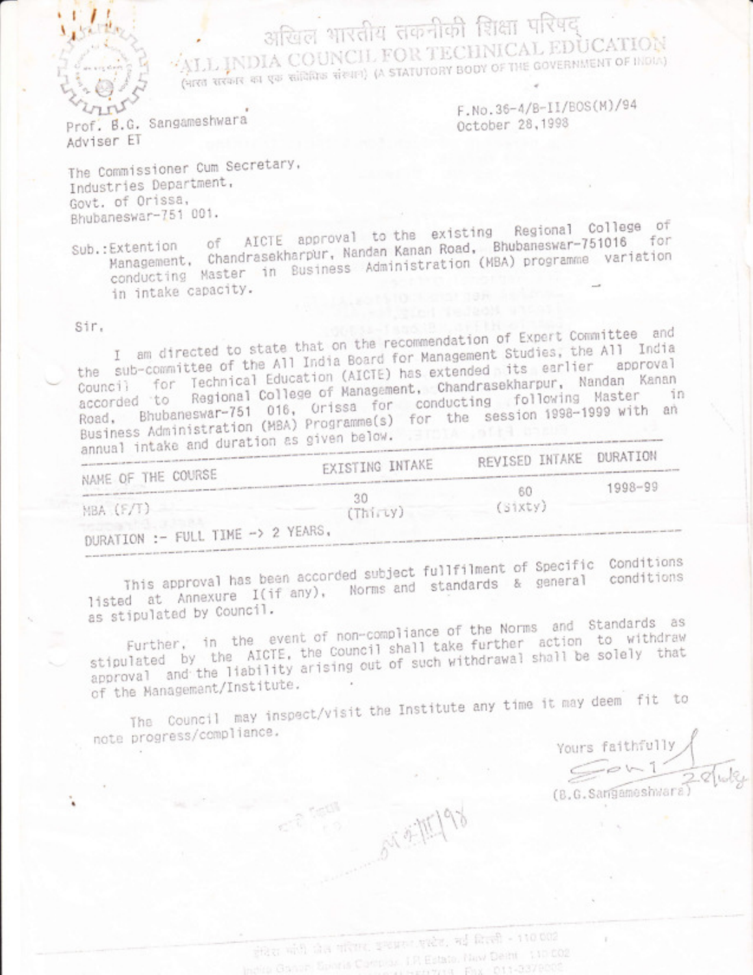अखिल भारतीय तकनीकी शिक्षा परिषद् "ALL INDIA COUNCIL FOR TECHNICAL EDUCATION (HRG REPORT OF BUSINES AND A STATUTORY BODY OF THE GOVERNMENT OF INDIA)

Prof. B.G. Sangameshwara Adviser ET

F.No.36-4/B-II/BOS(M)/94 October 28,1998

The Commissioner Cum Secretary, Industries Department, Govt. of Orissa, Bhubaneswar-751 001.

Sub.:Extention of AICTE approval to the existing Regional College of Management, Chandrasekharpur, Nandan Kanan Road, Bhubaneswar-751016 for conducting Master in Business Administration (MBA) programme variation in intake capacity.

Sir.

I am directed to state that on the recommendation of Expert Committee and the sub-committee of the All India Board for Management Studies, the All India Council for Technical Education (AICTE) has extended its earlier approval accorded to Regional College of Management, Chandrasekharpur, Nandan Kanan Road, Bhubaneswar-751 016, Orissa for conducting following Master in Business Administration (MBA) Programme(s) for the session 1998-1999 with an annual intake and duration as given below.

| CISSIONAL LIVERS<br>NAME OF THE COURSE | EXISTING INTAKE     | REVISED INTAKE DURATION |         |
|----------------------------------------|---------------------|-------------------------|---------|
| MBA (F/T)                              | 30<br>$(Thi\tau y)$ | -60<br>(Sixty)          | 1998-99 |
| DURATION :- FULL TIME -> 2 YEARS,      |                     |                         |         |

This approval has been accorded subject fullfilment of Specific Conditions listed at Annexure I(if any), Norms and standards & general conditions as stipulated by Council.

Further, in the event of non-compliance of the Norms and Standards as stipulated by the AICTE, the Council shall take further action to withdraw approval and the liability arising out of such withdrawal shall be solely that of the Management/Institute.

The Council may inspect/visit the Institute any time it may deem fit to note progress/compliance.

Yours faithfully (B.G.Sangameshwar

成本班